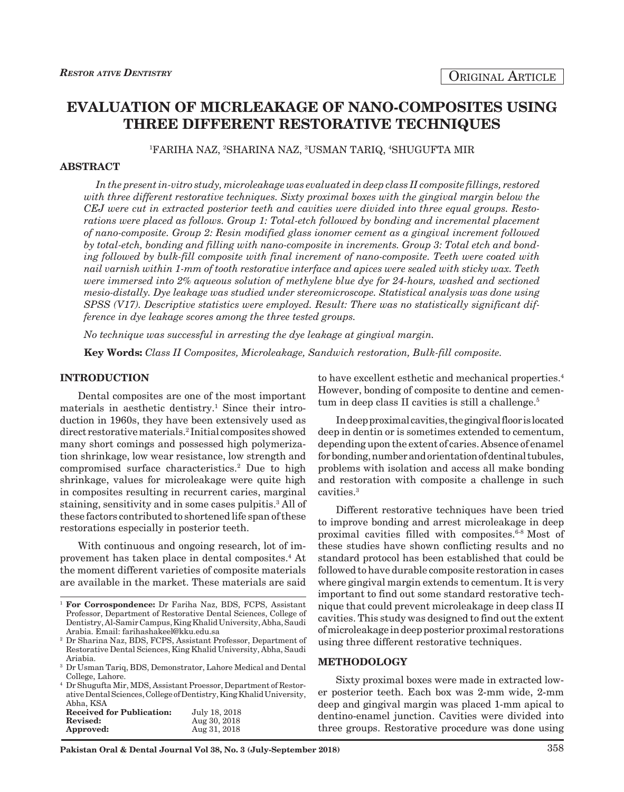# **EVALUATION OF MICRLEAKAGE OF NANO-COMPOSITES USING THREE DIFFERENT RESTORATIVE TECHNIQUES**

1 FARIHA NAZ, 2 SHARINA NAZ, 3 USMAN TARIQ, 4 SHUGUFTA MIR

#### **ABSTRACT**

*In the present in-vitro study, microleakage was evaluated in deep class II composite fillings, restored*  with three different restorative techniques. Sixty proximal boxes with the gingival margin below the *CEJ were cut in extracted posterior teeth and cavities were divided into three equal groups. Restorations were placed as follows. Group 1: Total-etch followed by bonding and incremental placement of nano-composite. Group 2: Resin modified glass ionomer cement as a gingival increment followed by total-etch, bonding and filling with nano-composite in increments. Group 3: Total etch and bonding followed by bulk-fill composite with final increment of nano-composite. Teeth were coated with nail varnish within 1-mm of tooth restorative interface and apices were sealed with sticky wax. Teeth were immersed into 2% aqueous solution of methylene blue dye for 24-hours, washed and sectioned mesio-distally. Dye leakage was studied under stereomicroscope. Statistical analysis was done using SPSS (V17). Descriptive statistics were employed. Result: There was no statistically significant difference in dye leakage scores among the three tested groups.*

*No technique was successful in arresting the dye leakage at gingival margin.*

**Key Words:** *Class II Composites, Microleakage, Sandwich restoration, Bulk-fill composite.*

#### **INTRODUCTION**

Dental composites are one of the most important materials in aesthetic dentistry.<sup>1</sup> Since their introduction in 1960s, they have been extensively used as direct restorative materials.<sup>2</sup> Initial composites showed many short comings and possessed high polymerization shrinkage, low wear resistance, low strength and compromised surface characteristics.2 Due to high shrinkage, values for microleakage were quite high in composites resulting in recurrent caries, marginal staining, sensitivity and in some cases pulpitis.<sup>3</sup> All of these factors contributed to shortened life span of these restorations especially in posterior teeth.

With continuous and ongoing research, lot of improvement has taken place in dental composites.4 At the moment different varieties of composite materials are available in the market. These materials are said

<sup>4</sup> Dr Shugufta Mir, MDS, Assistant Proessor, Department of Restorative Dental Sciences, College of Dentistry, King Khalid University, Abha, KSA

| <b>Received for Publication:</b> | July 18, 2018 |
|----------------------------------|---------------|
| Revised:                         | Aug 30, 2018  |
| Approved:                        | Aug 31, 2018  |

to have excellent esthetic and mechanical properties.<sup>4</sup> However, bonding of composite to dentine and cementum in deep class II cavities is still a challenge.<sup>5</sup>

In deep proximal cavities, the gingival floor is located deep in dentin or is sometimes extended to cementum, depending upon the extent of caries. Absence of enamel for bonding, number and orientation of dentinal tubules, problems with isolation and access all make bonding and restoration with composite a challenge in such cavities.3

Different restorative techniques have been tried to improve bonding and arrest microleakage in deep proximal cavities filled with composites.6-8 Most of these studies have shown conflicting results and no standard protocol has been established that could be followed to have durable composite restoration in cases where gingival margin extends to cementum. It is very important to find out some standard restorative technique that could prevent microleakage in deep class II cavities. This study was designed to find out the extent of microleakage in deep posterior proximal restorations using three different restorative techniques.

### **METHODOLOGY**

Sixty proximal boxes were made in extracted lower posterior teeth. Each box was 2-mm wide, 2-mm deep and gingival margin was placed 1-mm apical to dentino-enamel junction. Cavities were divided into three groups. Restorative procedure was done using

<sup>1</sup> **For Corrospondence:** Dr Fariha Naz, BDS, FCPS, Assistant Professor, Department of Restorative Dental Sciences, College of Dentistry, Al-Samir Campus, King Khalid University, Abha, Saudi Arabia. Email: farihashakeel@kku.edu.sa

<sup>2</sup> Dr Sharina Naz, BDS, FCPS, Assistant Professor, Department of Restorative Dental Sciences, King Khalid University, Abha, Saudi Ariabia.

<sup>3</sup> Dr Usman Tariq, BDS, Demonstrator, Lahore Medical and Dental College, Lahore.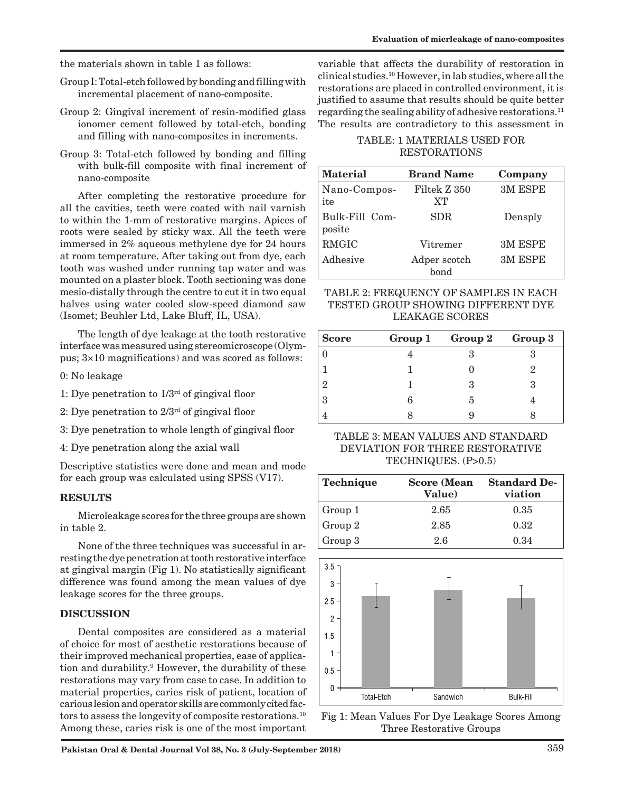the materials shown in table 1 as follows:

- Group I: Total-etch followed by bonding and filling with incremental placement of nano-composite.
- Group 2: Gingival increment of resin-modified glass ionomer cement followed by total-etch, bonding and filling with nano-composites in increments.
- Group 3: Total-etch followed by bonding and filling with bulk-fill composite with final increment of nano-composite

After completing the restorative procedure for all the cavities, teeth were coated with nail varnish to within the 1-mm of restorative margins. Apices of roots were sealed by sticky wax. All the teeth were immersed in 2% aqueous methylene dye for 24 hours at room temperature. After taking out from dye, each tooth was washed under running tap water and was mounted on a plaster block. Tooth sectioning was done mesio-distally through the centre to cut it in two equal halves using water cooled slow-speed diamond saw (Isomet; Beuhler Ltd, Lake Bluff, IL, USA).

The length of dye leakage at the tooth restorative interface was measured using stereomicroscope (Olympus; 3×10 magnifications) and was scored as follows:

- 0: No leakage
- 1: Dye penetration to  $1/3^{rd}$  of gingival floor
- 2: Dye penetration to  $2/3^{rd}$  of gingival floor
- 3: Dye penetration to whole length of gingival floor
- 4: Dye penetration along the axial wall

Descriptive statistics were done and mean and mode for each group was calculated using SPSS (V17).

### **RESULTS**

Microleakage scores for the three groups are shown in table 2.

None of the three techniques was successful in arresting the dye penetration at tooth restorative interface at gingival margin (Fig 1). No statistically significant difference was found among the mean values of dye leakage scores for the three groups.

## **DISCUSSION**

Dental composites are considered as a material of choice for most of aesthetic restorations because of their improved mechanical properties, ease of application and durability.9 However, the durability of these restorations may vary from case to case. In addition to material properties, caries risk of patient, location of carious lesion and operator skills are commonly cited factors to assess the longevity of composite restorations.10 Among these, caries risk is one of the most important

variable that affects the durability of restoration in clinical studies.10 However, in lab studies, where all the restorations are placed in controlled environment, it is justified to assume that results should be quite better regarding the sealing ability of adhesive restorations.11 The results are contradictory to this assessment in

## TABLE: 1 MATERIALS USED FOR RESTORATIONS

| <b>Material</b>          | <b>Brand Name</b>    | Company |
|--------------------------|----------------------|---------|
| Nano-Compos-<br>ite      | Filtek Z 350<br>XT   | 3M ESPE |
| Bulk-Fill Com-<br>posite | SDR.                 | Densply |
| RMGIC                    | Vitremer             | 3M ESPE |
| Adhesive                 | Adper scotch<br>hond | 3M ESPE |

TABLE 2: FREQUENCY OF SAMPLES IN EACH TESTED GROUP SHOWING DIFFERENT DYE LEAKAGE SCORES

| <b>Score</b>  |   | Group 1 Group 2 Group 3 |  |
|---------------|---|-------------------------|--|
|               |   |                         |  |
|               |   |                         |  |
| $\mathcal{D}$ |   | З                       |  |
| -3            | 6 | h                       |  |
|               |   |                         |  |

## TABLE 3: MEAN VALUES AND STANDARD DEVIATION FOR THREE RESTORATIVE TECHNIQUES. (P>0.5)

| Technique | <b>Score</b> (Mean<br>Value) | <b>Standard De-</b><br>viation |
|-----------|------------------------------|--------------------------------|
| Group 1   | 2.65                         | 0.35                           |
| Group 2   | 2.85                         | 0.32                           |
| Group 3   | 2.6                          | 0.34                           |



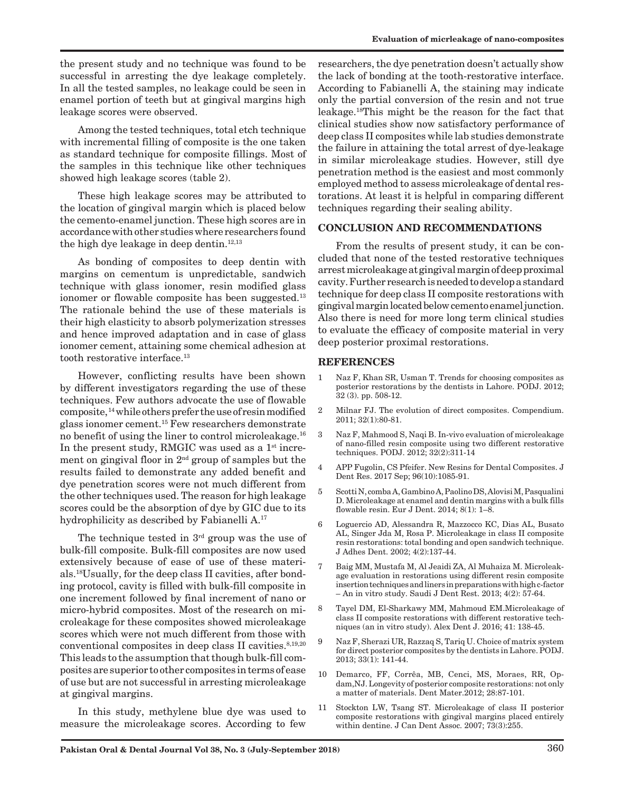the present study and no technique was found to be successful in arresting the dye leakage completely. In all the tested samples, no leakage could be seen in enamel portion of teeth but at gingival margins high leakage scores were observed.

Among the tested techniques, total etch technique with incremental filling of composite is the one taken as standard technique for composite fillings. Most of the samples in this technique like other techniques showed high leakage scores (table 2).

These high leakage scores may be attributed to the location of gingival margin which is placed below the cemento-enamel junction. These high scores are in accordance with other studies where researchers found the high dye leakage in deep dentin. $12,13$ 

As bonding of composites to deep dentin with margins on cementum is unpredictable, sandwich technique with glass ionomer, resin modified glass ionomer or flowable composite has been suggested.<sup>13</sup> The rationale behind the use of these materials is their high elasticity to absorb polymerization stresses and hence improved adaptation and in case of glass ionomer cement, attaining some chemical adhesion at tooth restorative interface.13

However, conflicting results have been shown by different investigators regarding the use of these techniques. Few authors advocate the use of flowable composite, 14 while others prefer the use of resin modified glass ionomer cement.15 Few researchers demonstrate no benefit of using the liner to control microleakage.16 In the present study, RMGIC was used as a  $1<sup>st</sup>$  increment on gingival floor in  $2<sup>nd</sup>$  group of samples but the results failed to demonstrate any added benefit and dye penetration scores were not much different from the other techniques used. The reason for high leakage scores could be the absorption of dye by GIC due to its hydrophilicity as described by Fabianelli A.<sup>17</sup>

The technique tested in  $3<sup>rd</sup>$  group was the use of bulk-fill composite. Bulk-fill composites are now used extensively because of ease of use of these materials.18Usually, for the deep class II cavities, after bonding protocol, cavity is filled with bulk-fill composite in one increment followed by final increment of nano or micro-hybrid composites. Most of the research on microleakage for these composites showed microleakage scores which were not much different from those with conventional composites in deep class II cavities.<sup>8,19,20</sup> This leads to the assumption that though bulk-fill composites are superior to other composites in terms of ease of use but are not successful in arresting microleakage at gingival margins.

In this study, methylene blue dye was used to measure the microleakage scores. According to few researchers, the dye penetration doesn't actually show the lack of bonding at the tooth-restorative interface. According to Fabianelli A, the staining may indicate only the partial conversion of the resin and not true leakage.18This might be the reason for the fact that clinical studies show now satisfactory performance of deep class II composites while lab studies demonstrate the failure in attaining the total arrest of dye-leakage in similar microleakage studies. However, still dye penetration method is the easiest and most commonly employed method to assess microleakage of dental restorations. At least it is helpful in comparing different techniques regarding their sealing ability.

## **CONCLUSION AND RECOMMENDATIONS**

From the results of present study, it can be concluded that none of the tested restorative techniques arrest microleakage at gingival margin of deep proximal cavity. Further research is needed to develop a standard technique for deep class II composite restorations with gingival margin located below cemento enamel junction. Also there is need for more long term clinical studies to evaluate the efficacy of composite material in very deep posterior proximal restorations.

## **REFERENCES**

- 1 Naz F, Khan SR, Usman T. Trends for choosing composites as posterior restorations by the dentists in Lahore. PODJ. 2012; 32 (3). pp. 508-12.
- 2 Milnar FJ. The evolution of direct composites. Compendium. 2011; 32(1):80-81.
- 3 Naz F, Mahmood S, Naqi B. In-vivo evaluation of microleakage of nano-filled resin composite using two different restorative techniques. PODJ. 2012; 32(2):311-14
- 4 APP Fugolin, CS Pfeifer. New Resins for Dental Composites. J Dent Res. 2017 Sep; 96(10):1085-91.
- 5 Scotti N, comba A, Gambino A, Paolino DS, Alovisi M, Pasqualini D. Microleakage at enamel and dentin margins with a bulk fills flowable resin. Eur J Dent. 2014; 8(1): 1–8.
- 6 Loguercio AD, Alessandra R, Mazzocco KC, Dias AL, Busato AL, Singer Jda M, Rosa P. Microleakage in class II composite resin restorations: total bonding and open sandwich technique. J Adhes Dent. 2002; 4(2):137-44.
- 7 Baig MM, Mustafa M, Al Jeaidi ZA, Al Muhaiza M. Microleakage evaluation in restorations using different resin composite insertion techniques and liners in preparations with high c-factor – An in vitro study. Saudi J Dent Rest. 2013; 4(2): 57-64.
- 8 Tayel DM, El-Sharkawy MM, Mahmoud EM.Microleakage of class II composite restorations with different restorative techniques (an in vitro study). Alex Dent J. 2016; 41: 138-45.
- 9 Naz F, Sherazi UR, Razzaq S, Tariq U. Choice of matrix system for direct posterior composites by the dentists in Lahore. PODJ. 2013; 33(1): 141-44.
- 10 Demarco, FF, Corrêa, MB, Cenci, MS, Moraes, RR, Opdam,NJ.Longevity of posterior composite restorations: not only a matter of materials. Dent Mater.2012; 28:87-101.
- 11 Stockton LW, Tsang ST. Microleakage of class II posterior composite restorations with gingival margins placed entirely within dentine. J Can Dent Assoc. 2007; 73(3):255.